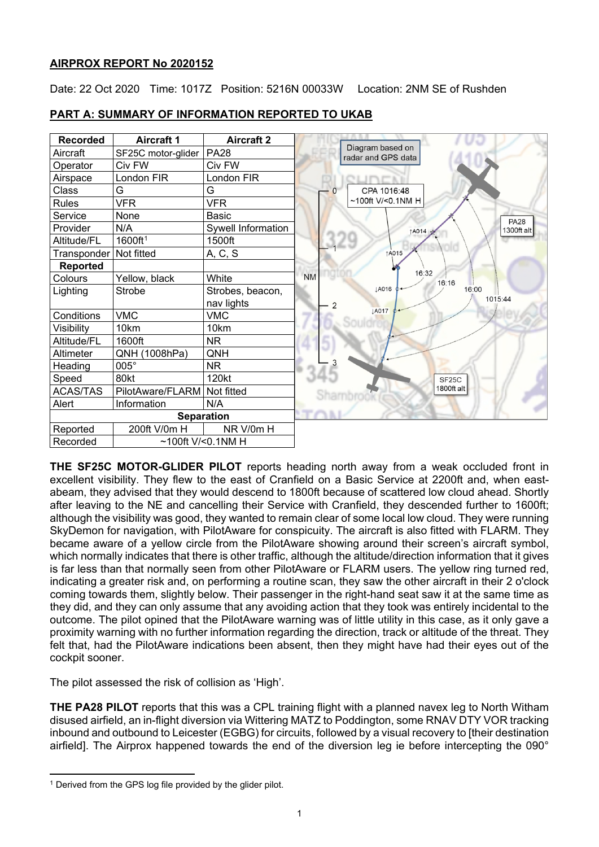# **AIRPROX REPORT No 2020152**

Date: 22 Oct 2020 Time: 1017Z Position: 5216N 00033W Location: 2NM SE of Rushden



# **PART A: SUMMARY OF INFORMATION REPORTED TO UKAB**

**THE SF25C MOTOR-GLIDER PILOT** reports heading north away from a weak occluded front in excellent visibility. They flew to the east of Cranfield on a Basic Service at 2200ft and, when eastabeam, they advised that they would descend to 1800ft because of scattered low cloud ahead. Shortly after leaving to the NE and cancelling their Service with Cranfield, they descended further to 1600ft; although the visibility was good, they wanted to remain clear of some local low cloud. They were running SkyDemon for navigation, with PilotAware for conspicuity. The aircraft is also fitted with FLARM. They became aware of a yellow circle from the PilotAware showing around their screen's aircraft symbol, which normally indicates that there is other traffic, although the altitude/direction information that it gives is far less than that normally seen from other PilotAware or FLARM users. The yellow ring turned red, indicating a greater risk and, on performing a routine scan, they saw the other aircraft in their 2 o'clock coming towards them, slightly below. Their passenger in the right-hand seat saw it at the same time as they did, and they can only assume that any avoiding action that they took was entirely incidental to the outcome. The pilot opined that the PilotAware warning was of little utility in this case, as it only gave a proximity warning with no further information regarding the direction, track or altitude of the threat. They felt that, had the PilotAware indications been absent, then they might have had their eyes out of the cockpit sooner.

The pilot assessed the risk of collision as 'High'.

**THE PA28 PILOT** reports that this was a CPL training flight with a planned navex leg to North Witham disused airfield, an in-flight diversion via Wittering MATZ to Poddington, some RNAV DTY VOR tracking inbound and outbound to Leicester (EGBG) for circuits, followed by a visual recovery to [their destination airfield]. The Airprox happened towards the end of the diversion leg ie before intercepting the 090°

<span id="page-0-0"></span><sup>&</sup>lt;sup>1</sup> Derived from the GPS log file provided by the glider pilot.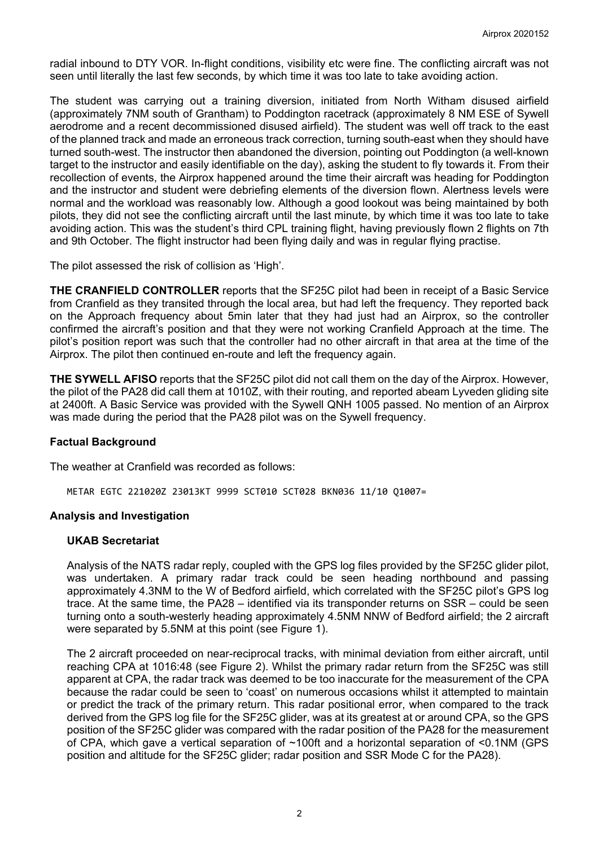radial inbound to DTY VOR. In-flight conditions, visibility etc were fine. The conflicting aircraft was not seen until literally the last few seconds, by which time it was too late to take avoiding action.

The student was carrying out a training diversion, initiated from North Witham disused airfield (approximately 7NM south of Grantham) to Poddington racetrack (approximately 8 NM ESE of Sywell aerodrome and a recent decommissioned disused airfield). The student was well off track to the east of the planned track and made an erroneous track correction, turning south-east when they should have turned south-west. The instructor then abandoned the diversion, pointing out Poddington (a well-known target to the instructor and easily identifiable on the day), asking the student to fly towards it. From their recollection of events, the Airprox happened around the time their aircraft was heading for Poddington and the instructor and student were debriefing elements of the diversion flown. Alertness levels were normal and the workload was reasonably low. Although a good lookout was being maintained by both pilots, they did not see the conflicting aircraft until the last minute, by which time it was too late to take avoiding action. This was the student's third CPL training flight, having previously flown 2 flights on 7th and 9th October. The flight instructor had been flying daily and was in regular flying practise.

The pilot assessed the risk of collision as 'High'.

**THE CRANFIELD CONTROLLER** reports that the SF25C pilot had been in receipt of a Basic Service from Cranfield as they transited through the local area, but had left the frequency. They reported back on the Approach frequency about 5min later that they had just had an Airprox, so the controller confirmed the aircraft's position and that they were not working Cranfield Approach at the time. The pilot's position report was such that the controller had no other aircraft in that area at the time of the Airprox. The pilot then continued en-route and left the frequency again.

**THE SYWELL AFISO** reports that the SF25C pilot did not call them on the day of the Airprox. However, the pilot of the PA28 did call them at 1010Z, with their routing, and reported abeam Lyveden gliding site at 2400ft. A Basic Service was provided with the Sywell QNH 1005 passed. No mention of an Airprox was made during the period that the PA28 pilot was on the Sywell frequency.

### **Factual Background**

The weather at Cranfield was recorded as follows:

METAR EGTC 221020Z 23013KT 9999 SCT010 SCT028 BKN036 11/10 Q1007=

### **Analysis and Investigation**

#### **UKAB Secretariat**

Analysis of the NATS radar reply, coupled with the GPS log files provided by the SF25C glider pilot, was undertaken. A primary radar track could be seen heading northbound and passing approximately 4.3NM to the W of Bedford airfield, which correlated with the SF25C pilot's GPS log trace. At the same time, the PA28 – identified via its transponder returns on SSR – could be seen turning onto a south-westerly heading approximately 4.5NM NNW of Bedford airfield; the 2 aircraft were separated by 5.5NM at this point (see Figure 1).

The 2 aircraft proceeded on near-reciprocal tracks, with minimal deviation from either aircraft, until reaching CPA at 1016:48 (see Figure 2). Whilst the primary radar return from the SF25C was still apparent at CPA, the radar track was deemed to be too inaccurate for the measurement of the CPA because the radar could be seen to 'coast' on numerous occasions whilst it attempted to maintain or predict the track of the primary return. This radar positional error, when compared to the track derived from the GPS log file for the SF25C glider, was at its greatest at or around CPA, so the GPS position of the SF25C glider was compared with the radar position of the PA28 for the measurement of CPA, which gave a vertical separation of ~100ft and a horizontal separation of <0.1NM (GPS position and altitude for the SF25C glider; radar position and SSR Mode C for the PA28).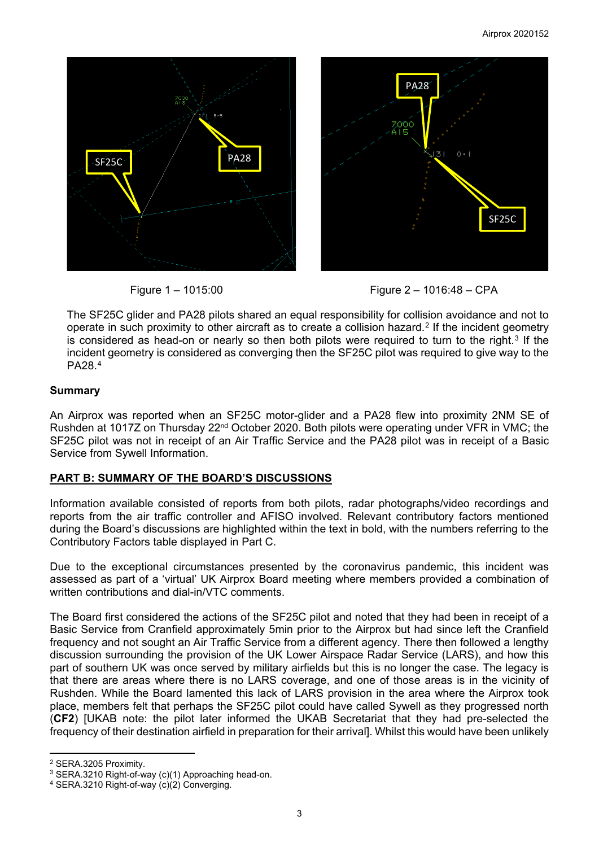



The SF25C glider and PA28 pilots shared an equal responsibility for collision avoidance and not to operate in such proximity to other aircraft as to create a collision hazard.<sup>[2](#page-2-0)</sup> If the incident geometry is considered as head-on or nearly so then both pilots were required to turn to the right.<sup>[3](#page-2-1)</sup> If the incident geometry is considered as converging then the SF25C pilot was required to give way to the PA28.[4](#page-2-2)

# **Summary**

An Airprox was reported when an SF25C motor-glider and a PA28 flew into proximity 2NM SE of Rushden at 1017Z on Thursday 22<sup>nd</sup> October 2020. Both pilots were operating under VFR in VMC; the SF25C pilot was not in receipt of an Air Traffic Service and the PA28 pilot was in receipt of a Basic Service from Sywell Information.

### **PART B: SUMMARY OF THE BOARD'S DISCUSSIONS**

Information available consisted of reports from both pilots, radar photographs/video recordings and reports from the air traffic controller and AFISO involved. Relevant contributory factors mentioned during the Board's discussions are highlighted within the text in bold, with the numbers referring to the Contributory Factors table displayed in Part C.

Due to the exceptional circumstances presented by the coronavirus pandemic, this incident was assessed as part of a 'virtual' UK Airprox Board meeting where members provided a combination of written contributions and dial-in/VTC comments.

The Board first considered the actions of the SF25C pilot and noted that they had been in receipt of a Basic Service from Cranfield approximately 5min prior to the Airprox but had since left the Cranfield frequency and not sought an Air Traffic Service from a different agency. There then followed a lengthy discussion surrounding the provision of the UK Lower Airspace Radar Service (LARS), and how this part of southern UK was once served by military airfields but this is no longer the case. The legacy is that there are areas where there is no LARS coverage, and one of those areas is in the vicinity of Rushden. While the Board lamented this lack of LARS provision in the area where the Airprox took place, members felt that perhaps the SF25C pilot could have called Sywell as they progressed north (**CF2**) [UKAB note: the pilot later informed the UKAB Secretariat that they had pre-selected the frequency of their destination airfield in preparation for their arrival]. Whilst this would have been unlikely

<span id="page-2-0"></span><sup>2</sup> SERA.3205 Proximity.

<span id="page-2-1"></span><sup>3</sup> SERA.3210 Right-of-way (c)(1) Approaching head-on.

<span id="page-2-2"></span><sup>4</sup> SERA.3210 Right-of-way (c)(2) Converging.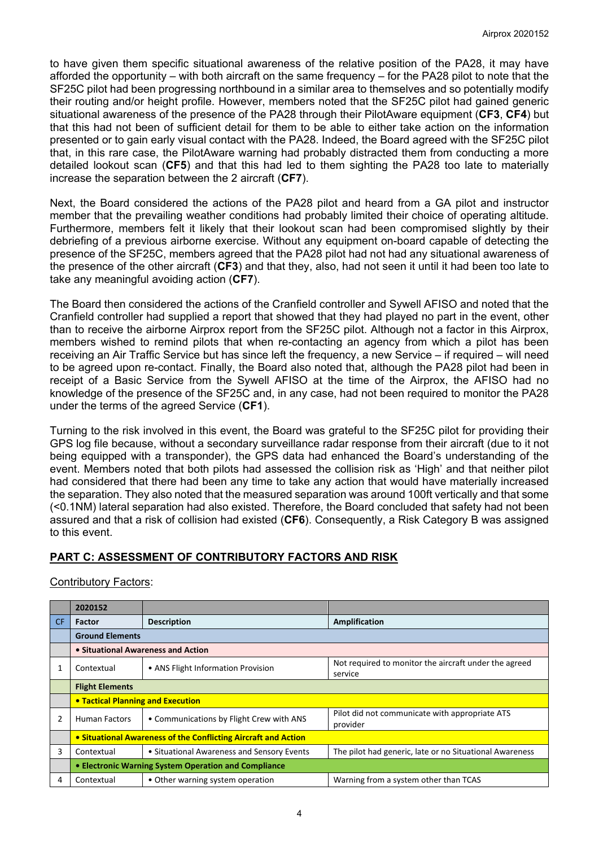to have given them specific situational awareness of the relative position of the PA28, it may have afforded the opportunity – with both aircraft on the same frequency – for the PA28 pilot to note that the SF25C pilot had been progressing northbound in a similar area to themselves and so potentially modify their routing and/or height profile. However, members noted that the SF25C pilot had gained generic situational awareness of the presence of the PA28 through their PilotAware equipment (**CF3**, **CF4**) but that this had not been of sufficient detail for them to be able to either take action on the information presented or to gain early visual contact with the PA28. Indeed, the Board agreed with the SF25C pilot that, in this rare case, the PilotAware warning had probably distracted them from conducting a more detailed lookout scan (**CF5**) and that this had led to them sighting the PA28 too late to materially increase the separation between the 2 aircraft (**CF7**).

Next, the Board considered the actions of the PA28 pilot and heard from a GA pilot and instructor member that the prevailing weather conditions had probably limited their choice of operating altitude. Furthermore, members felt it likely that their lookout scan had been compromised slightly by their debriefing of a previous airborne exercise. Without any equipment on-board capable of detecting the presence of the SF25C, members agreed that the PA28 pilot had not had any situational awareness of the presence of the other aircraft (**CF3**) and that they, also, had not seen it until it had been too late to take any meaningful avoiding action (**CF7**).

The Board then considered the actions of the Cranfield controller and Sywell AFISO and noted that the Cranfield controller had supplied a report that showed that they had played no part in the event, other than to receive the airborne Airprox report from the SF25C pilot. Although not a factor in this Airprox, members wished to remind pilots that when re-contacting an agency from which a pilot has been receiving an Air Traffic Service but has since left the frequency, a new Service – if required – will need to be agreed upon re-contact. Finally, the Board also noted that, although the PA28 pilot had been in receipt of a Basic Service from the Sywell AFISO at the time of the Airprox, the AFISO had no knowledge of the presence of the SF25C and, in any case, had not been required to monitor the PA28 under the terms of the agreed Service (**CF1**).

Turning to the risk involved in this event, the Board was grateful to the SF25C pilot for providing their GPS log file because, without a secondary surveillance radar response from their aircraft (due to it not being equipped with a transponder), the GPS data had enhanced the Board's understanding of the event. Members noted that both pilots had assessed the collision risk as 'High' and that neither pilot had considered that there had been any time to take any action that would have materially increased the separation. They also noted that the measured separation was around 100ft vertically and that some (<0.1NM) lateral separation had also existed. Therefore, the Board concluded that safety had not been assured and that a risk of collision had existed (**CF6**). Consequently, a Risk Category B was assigned to this event.

# **PART C: ASSESSMENT OF CONTRIBUTORY FACTORS AND RISK**

### Contributory Factors:

|                | 2020152                                                        |                                            |                                                                  |  |  |  |  |  |  |  |
|----------------|----------------------------------------------------------------|--------------------------------------------|------------------------------------------------------------------|--|--|--|--|--|--|--|
| CF.            | Factor                                                         | <b>Description</b>                         | <b>Amplification</b>                                             |  |  |  |  |  |  |  |
|                | <b>Ground Elements</b>                                         |                                            |                                                                  |  |  |  |  |  |  |  |
|                | • Situational Awareness and Action                             |                                            |                                                                  |  |  |  |  |  |  |  |
|                | Contextual                                                     | • ANS Flight Information Provision         | Not required to monitor the aircraft under the agreed<br>service |  |  |  |  |  |  |  |
|                | <b>Flight Elements</b>                                         |                                            |                                                                  |  |  |  |  |  |  |  |
|                | <b>• Tactical Planning and Execution</b>                       |                                            |                                                                  |  |  |  |  |  |  |  |
| $\overline{2}$ | <b>Human Factors</b>                                           | • Communications by Flight Crew with ANS   | Pilot did not communicate with appropriate ATS<br>provider       |  |  |  |  |  |  |  |
|                | • Situational Awareness of the Conflicting Aircraft and Action |                                            |                                                                  |  |  |  |  |  |  |  |
| 3              | Contextual                                                     | • Situational Awareness and Sensory Events | The pilot had generic, late or no Situational Awareness          |  |  |  |  |  |  |  |
|                | • Electronic Warning System Operation and Compliance           |                                            |                                                                  |  |  |  |  |  |  |  |
| 4              | Contextual                                                     | • Other warning system operation           | Warning from a system other than TCAS                            |  |  |  |  |  |  |  |